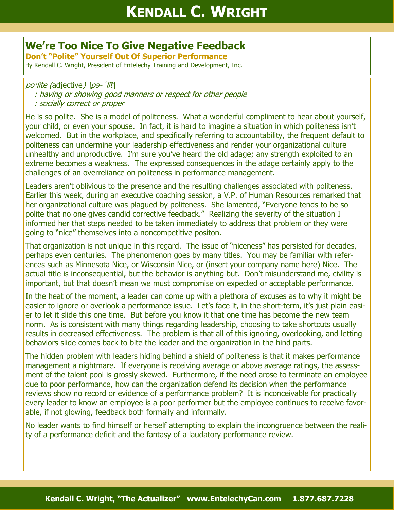## **We're Too Nice To Give Negative Feedback**

**Don't "Polite" Yourself Out Of Superior Performance**

By Kendall C. Wright, President of Entelechy Training and Development, Inc.

## po·lite (adjective)  $|p$ *a*- $'\overline{lt}|$

- : having or showing good manners or respect for other people
- : socially correct or proper

He is so polite. She is a model of politeness. What a wonderful compliment to hear about yourself, your child, or even your spouse. In fact, it is hard to imagine a situation in which politeness isn't welcomed. But in the workplace, and specifically referring to accountability, the frequent default to politeness can undermine your leadership effectiveness and render your organizational culture unhealthy and unproductive. I'm sure you've heard the old adage; any strength exploited to an extreme becomes a weakness. The expressed consequences in the adage certainly apply to the challenges of an overreliance on politeness in performance management.

Leaders aren't oblivious to the presence and the resulting challenges associated with politeness. Earlier this week, during an executive coaching session, a V.P. of Human Resources remarked that her organizational culture was plagued by politeness. She lamented, "Everyone tends to be so polite that no one gives candid corrective feedback." Realizing the severity of the situation I informed her that steps needed to be taken immediately to address that problem or they were going to "nice" themselves into a noncompetitive positon.

That organization is not unique in this regard. The issue of "niceness" has persisted for decades, perhaps even centuries. The phenomenon goes by many titles. You may be familiar with references such as Minnesota Nice, or Wisconsin Nice, or (insert your company name here) Nice. The actual title is inconsequential, but the behavior is anything but. Don't misunderstand me, civility is important, but that doesn't mean we must compromise on expected or acceptable performance.

In the heat of the moment, a leader can come up with a plethora of excuses as to why it might be easier to ignore or overlook a performance issue. Let's face it, in the short-term, it's just plain easier to let it slide this one time. But before you know it that one time has become the new team norm. As is consistent with many things regarding leadership, choosing to take shortcuts usually results in decreased effectiveness. The problem is that all of this ignoring, overlooking, and letting behaviors slide comes back to bite the leader and the organization in the hind parts.

The hidden problem with leaders hiding behind a shield of politeness is that it makes performance management a nightmare. If everyone is receiving average or above average ratings, the assessment of the talent pool is grossly skewed. Furthermore, if the need arose to terminate an employee due to poor performance, how can the organization defend its decision when the performance reviews show no record or evidence of a performance problem? It is inconceivable for practically every leader to know an employee is a poor performer but the employee continues to receive favorable, if not glowing, feedback both formally and informally.

No leader wants to find himself or herself attempting to explain the incongruence between the reality of a performance deficit and the fantasy of a laudatory performance review.